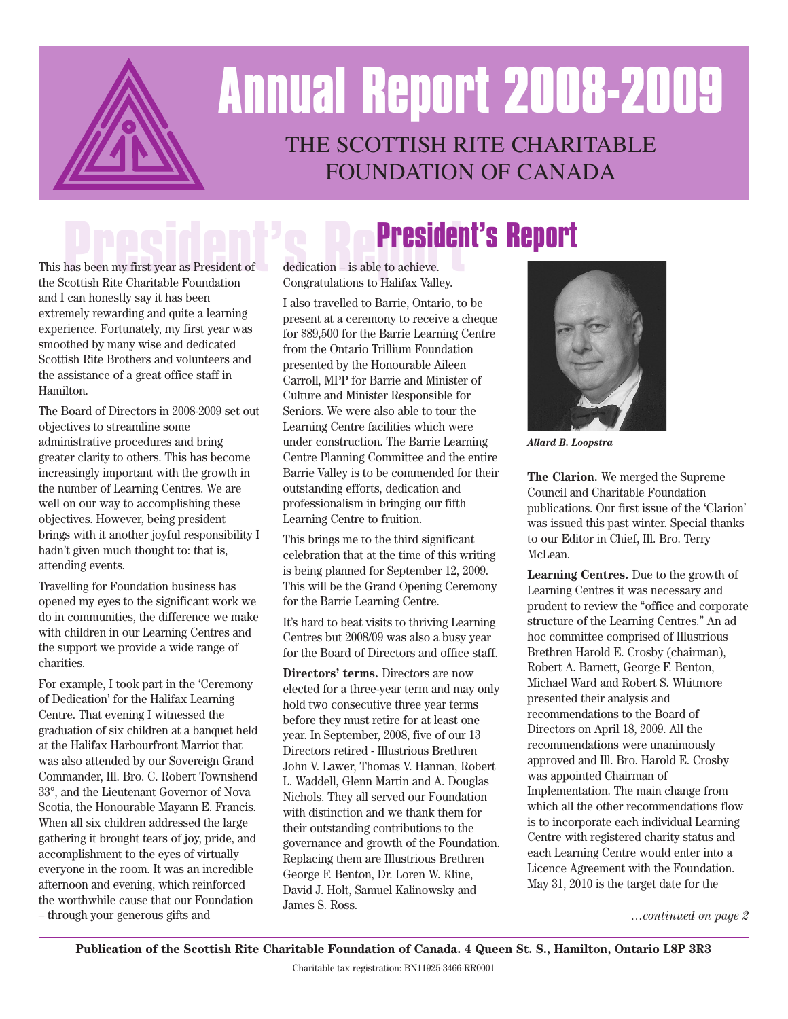

## THE SCOTTISH RITE CHARITABLE FoundaTion oF canada **Annual Report 2008-2009**

## **President's Report**

This**P**has be**r**en <sup>m</sup>**e**<sup>y</sup> fir**s**st ye**i**ar**d**as Pr**e**eside**n**nt of**t's Report** the Scottish Rite Charitable Foundation and I can honestly say it has been extremely rewarding and quite a learning experience. Fortunately, my first year was smoothed by many wise and dedicated Scottish Rite Brothers and volunteers and the assistance of a great office staff in Hamilton.

The Board of Directors in 2008-2009 set out objectives to streamline some administrative procedures and bring greater clarity to others. This has become increasingly important with the growth in the number of Learning Centres. We are well on our way to accomplishing these objectives. However, being president brings with it another joyful responsibility I hadn't given much thought to: that is, attending events.

Travelling for Foundation business has opened my eyes to the significant work we do in communities, the difference we make with children in our Learning Centres and the support we provide a wide range of charities.

For example, I took part in the 'Ceremony of Dedication' for the Halifax Learning Centre. That evening I witnessed the graduation of six children at a banquet held at the Halifax Harbourfront Marriot that was also attended by our Sovereign Grand Commander, Ill. Bro. C. Robert Townshend 33°, and the Lieutenant Governor of Nova Scotia, the Honourable Mayann E. Francis. When all six children addressed the large gathering it brought tears of joy, pride, and accomplishment to the eyes of virtually everyone in the room. It was an incredible afternoon and evening, which reinforced the worthwhile cause that our Foundation – through your generous gifts and

dedication – is able to achieve. Congratulations to Halifax Valley.

I also travelled to Barrie, Ontario, to be present at a ceremony to receive a cheque for \$89,500 for the Barrie Learning Centre from the Ontario Trillium Foundation presented by the Honourable Aileen Carroll, MPP for Barrie and Minister of Culture and Minister Responsible for Seniors. We were also able to tour the Learning Centre facilities which were under construction. The Barrie Learning Centre Planning Committee and the entire Barrie Valley is to be commended for their outstanding efforts, dedication and professionalism in bringing our fifth Learning Centre to fruition.

This brings me to the third significant celebration that at the time of this writing is being planned for September 12, 2009. This will be the Grand Opening Ceremony for the Barrie Learning Centre.

It's hard to beat visits to thriving Learning Centres but 2008/09 was also a busy year for the Board of Directors and office staff.

**Directors' terms.** Directors are now elected for a three-year term and may only hold two consecutive three year terms before they must retire for at least one year. In September, 2008, five of our 13 Directors retired - Illustrious Brethren John V. Lawer, Thomas V. Hannan, Robert L. Waddell, Glenn Martin and A. Douglas Nichols. They all served our Foundation with distinction and we thank them for their outstanding contributions to the governance and growth of the Foundation. Replacing them are Illustrious Brethren George F. Benton, Dr. Loren W. Kline, David J. Holt, Samuel Kalinowsky and James S. Ross.



*Allard B. Loopstra*

**The Clarion.** We merged the Supreme Council and Charitable Foundation publications. Our first issue of the 'Clarion' was issued this past winter. Special thanks to our Editor in Chief, Ill. Bro. Terry McLean.

**Learning Centres.** Due to the growth of Learning Centres it was necessary and prudent to review the "office and corporate structure of the Learning Centres." An ad hoc committee comprised of Illustrious Brethren Harold E. Crosby (chairman), Robert A. Barnett, George F. Benton, Michael Ward and Robert S. Whitmore presented their analysis and recommendations to the Board of Directors on April 18, 2009. All the recommendations were unanimously approved and Ill. Bro. Harold E. Crosby was appointed Chairman of Implementation. The main change from which all the other recommendations flow is to incorporate each individual Learning Centre with registered charity status and each Learning Centre would enter into a Licence Agreement with the Foundation. May 31, 2010 is the target date for the

*…continued on page 2*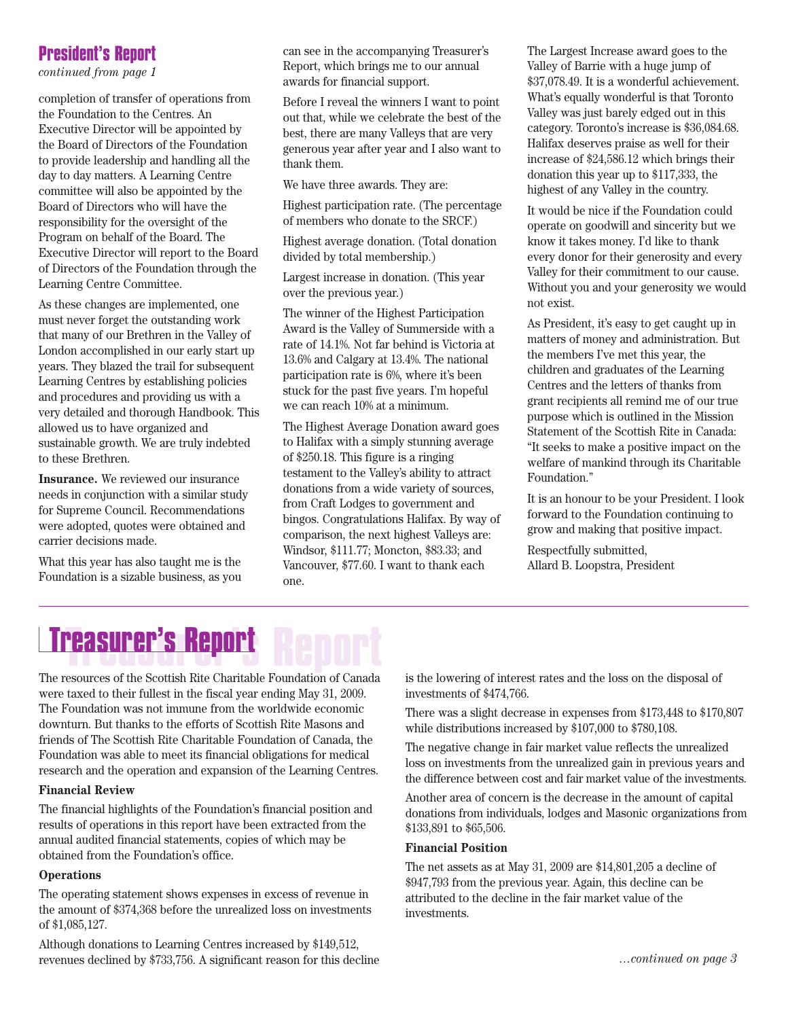### **President's Report**

*continued from page 1*

completion of transfer of operations from the Foundation to the Centres. An Executive Director will be appointed by the Board of Directors of the Foundation to provide leadership and handling all the day to day matters. A Learning Centre committee will also be appointed by the Board of Directors who will have the responsibility for the oversight of the Program on behalf of the Board. The Executive Director will report to the Board of Directors of the Foundation through the Learning Centre Committee.

As these changes are implemented, one must never forget the outstanding work that many of our Brethren in the Valley of London accomplished in our early start up years. They blazed the trail for subsequent Learning Centres by establishing policies and procedures and providing us with a very detailed and thorough Handbook. This allowed us to have organized and sustainable growth. We are truly indebted to these Brethren.

**Insurance.** We reviewed our insurance needs in conjunction with a similar study for Supreme Council. Recommendations were adopted, quotes were obtained and carrier decisions made.

What this year has also taught me is the Foundation is a sizable business, as you can see in the accompanying Treasurer's Report, which brings me to our annual awards for financial support.

Before I reveal the winners I want to point out that, while we celebrate the best of the best, there are many Valleys that are very generous year after year and I also want to thank them.

We have three awards. They are:

Highest participation rate. (The percentage of members who donate to the SRCF.)

Highest average donation. (Total donation divided by total membership.)

Largest increase in donation. (This year over the previous year.)

The winner of the Highest Participation Award is the Valley of Summerside with a rate of 14.1%. Not far behind is Victoria at 13.6% and Calgary at 13.4%. The national participation rate is 6%, where it's been stuck for the past five years. I'm hopeful we can reach 10% at a minimum.

The Highest Average Donation award goes to Halifax with a simply stunning average of \$250.18. This figure is a ringing testament to the Valley's ability to attract donations from a wide variety of sources, from Craft Lodges to government and bingos. Congratulations Halifax. By way of comparison, the next highest Valleys are: Windsor, \$111.77; Moncton, \$83.33; and Vancouver, \$77.60. I want to thank each one.

The Largest Increase award goes to the Valley of Barrie with a huge jump of \$37,078.49. It is a wonderful achievement. What's equally wonderful is that Toronto Valley was just barely edged out in this category. Toronto's increase is \$36,084.68. Halifax deserves praise as well for their increase of \$24,586.12 which brings their donation this year up to \$117,333, the highest of any Valley in the country.

It would be nice if the Foundation could operate on goodwill and sincerity but we know it takes money. I'd like to thank every donor for their generosity and every Valley for their commitment to our cause. Without you and your generosity we would not exist.

As President, it's easy to get caught up in matters of money and administration. But the members I've met this year, the children and graduates of the Learning Centres and the letters of thanks from grant recipients all remind me of our true purpose which is outlined in the Mission Statement of the Scottish Rite in Canada: "It seeks to make a positive impact on the welfare of mankind through its Charitable Foundation."

It is an honour to be your President. I look forward to the Foundation continuing to grow and making that positive impact.

Respectfully submitted, Allard B. Loopstra, President

## **Treasurer's Report Treasurer's Report**

The resources of the Scottish Rite Charitable Foundation of Canada were taxed to their fullest in the fiscal year ending May 31, 2009. The Foundation was not immune from the worldwide economic downturn. But thanks to the efforts of Scottish Rite Masons and friends of The Scottish Rite Charitable Foundation of Canada, the Foundation was able to meet its financial obligations for medical research and the operation and expansion of the Learning Centres.

### **Financial Review**

The financial highlights of the Foundation's financial position and results of operations in this report have been extracted from the annual audited financial statements, copies of which may be obtained from the Foundation's office.

### **Operations**

The operating statement shows expenses in excess of revenue in the amount of \$374,368 before the unrealized loss on investments of \$1,085,127.

Although donations to Learning Centres increased by \$149,512, revenues declined by \$733,756. A significant reason for this decline is the lowering of interest rates and the loss on the disposal of investments of \$474,766.

There was a slight decrease in expenses from \$173,448 to \$170,807 while distributions increased by \$107,000 to \$780,108.

The negative change in fair market value reflects the unrealized loss on investments from the unrealized gain in previous years and the difference between cost and fair market value of the investments.

Another area of concern is the decrease in the amount of capital donations from individuals, lodges and Masonic organizations from \$133,891 to \$65,506.

#### **Financial Position**

The net assets as at May 31, 2009 are \$14,801,205 a decline of \$947,793 from the previous year. Again, this decline can be attributed to the decline in the fair market value of the investments.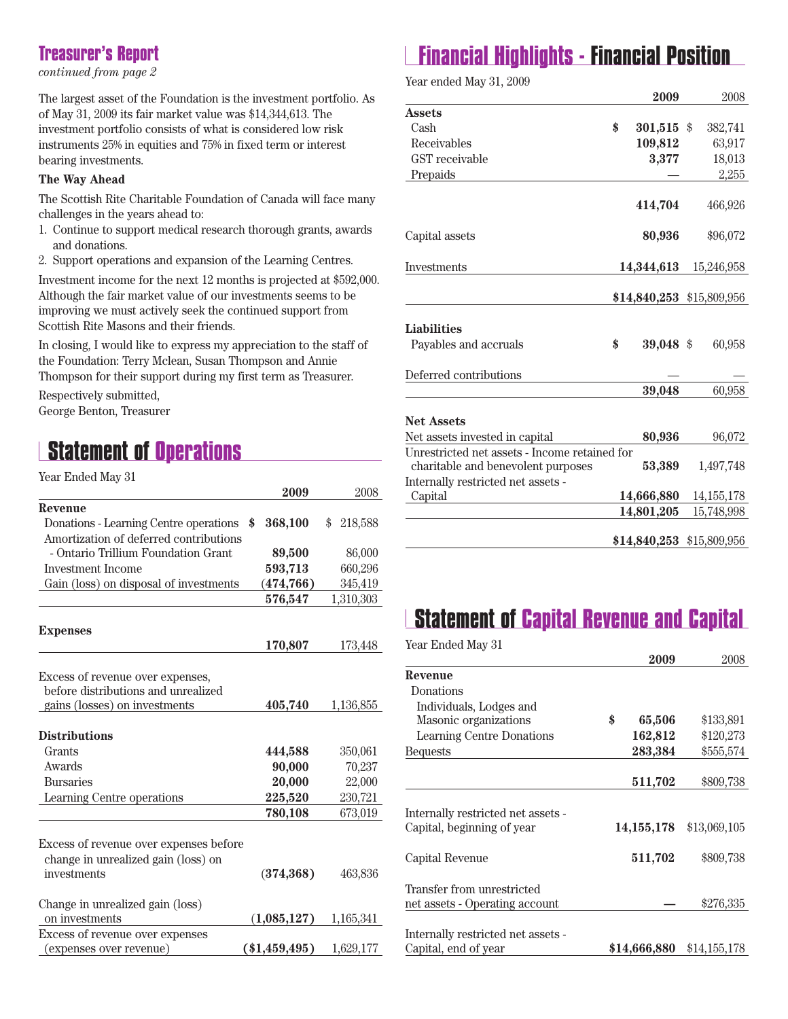### **Treasurer's Report**

*continued from page 2*

The largest asset of the Foundation is the investment portfolio. As of May 31, 2009 its fair market value was \$14,344,613. The investment portfolio consists of what is considered low risk instruments 25% in equities and 75% in fixed term or interest bearing investments.

#### **The Way Ahead**

The Scottish Rite Charitable Foundation of Canada will face many challenges in the years ahead to:

- 1. Continue to support medical research thorough grants, awards and donations.
- 2. Support operations and expansion of the Learning Centres.

Investment income for the next 12 months is projected at \$592,000. Although the fair market value of our investments seems to be improving we must actively seek the continued support from Scottish Rite Masons and their friends.

In closing, I would like to express my appreciation to the staff of the Foundation: Terry Mclean, Susan Thompson and Annie Thompson for their support during my first term as Treasurer.

Respectively submitted, George Benton, Treasurer

### **Statement of Operations**

| Year Ended May 31                      |                |               |
|----------------------------------------|----------------|---------------|
|                                        | 2009           | 2008          |
| Revenue                                |                |               |
| Donations - Learning Centre operations | \$<br>368,100  | \$<br>218,588 |
| Amortization of deferred contributions |                |               |
| - Ontario Trillium Foundation Grant    | 89,500         | 86,000        |
| Investment Income                      | 593,713        | 660,296       |
| Gain (loss) on disposal of investments | (474, 766)     | 345,419       |
|                                        | 576,547        | 1,310,303     |
|                                        |                |               |
| <b>Expenses</b>                        |                |               |
|                                        | 170,807        | 173,448       |
|                                        |                |               |
| Excess of revenue over expenses,       |                |               |
| before distributions and unrealized    |                |               |
| gains (losses) on investments          | 405,740        | 1,136,855     |
|                                        |                |               |
| <b>Distributions</b>                   |                |               |
| Grants                                 | 444,588        | 350,061       |
| Awards                                 | 90,000         | 70,237        |
| <b>Bursaries</b>                       | 20,000         | 22,000        |
| Learning Centre operations             | 225,520        | 230,721       |
|                                        | 780,108        | 673,019       |
|                                        |                |               |
| Excess of revenue over expenses before |                |               |
| change in unrealized gain (loss) on    |                |               |
| investments                            | (374, 368)     | 463,836       |
|                                        |                |               |
| Change in unrealized gain (loss)       |                |               |
| on investments                         | (1,085,127)    | 1,165,341     |
| Excess of revenue over expenses        |                |               |
| (expenses over revenue)                | $(*1,459,495)$ | 1,629,177     |

### **Financial Highlights - Financial Position**

Year ended May 31, 2009

|                                               | 2009             | 2008                      |
|-----------------------------------------------|------------------|---------------------------|
| Assets                                        |                  |                           |
| Cash                                          | \$<br>301,515 \$ | 382,741                   |
| Receivables                                   | 109,812          | 63,917                    |
| GST receivable                                | 3,377            | 18,013                    |
| Prepaids                                      |                  | 2,255                     |
|                                               |                  |                           |
|                                               | 414,704          | 466,926                   |
|                                               |                  |                           |
| Capital assets                                | 80,936           | \$96,072                  |
|                                               |                  |                           |
| Investments                                   | 14,344,613       | 15,246,958                |
|                                               |                  |                           |
|                                               |                  | \$14,840,253 \$15,809,956 |
|                                               |                  |                           |
| <b>Liabilities</b>                            |                  |                           |
| Payables and accruals                         | \$<br>39,048 \$  | 60,958                    |
|                                               |                  |                           |
| Deferred contributions                        |                  |                           |
|                                               | 39,048           | 60,958                    |
|                                               |                  |                           |
| <b>Net Assets</b>                             |                  |                           |
| Net assets invested in capital                | 80,936           | 96,072                    |
| Unrestricted net assets - Income retained for |                  |                           |
| charitable and benevolent purposes            | 53,389           | 1,497,748                 |
| Internally restricted net assets -            |                  |                           |
| Capital                                       | 14,666,880       | 14, 155, 178              |
|                                               | 14,801,205       | 15,748,998                |
|                                               |                  |                           |
|                                               |                  | \$14,840,253 \$15,809,956 |

### **Statement of Capital Revenue and Capital**

Year Ended May 31

|                                    |              | 2009             | 2008         |
|------------------------------------|--------------|------------------|--------------|
| Revenue                            |              |                  |              |
| Donations                          |              |                  |              |
| Individuals, Lodges and            |              |                  |              |
| Masonic organizations              | \$           | 65,506           | \$133,891    |
| Learning Centre Donations          |              | 162,812          | \$120,273    |
| <b>Bequests</b>                    |              | 283,384          | \$555,574    |
|                                    |              |                  |              |
|                                    |              | 511,702          | \$809,738    |
|                                    |              |                  |              |
| Internally restricted net assets - |              |                  |              |
| Capital, beginning of year         |              | $14{,}155{,}178$ | \$13,069,105 |
| Capital Revenue                    |              | 511,702          | \$809,738    |
|                                    |              |                  |              |
| Transfer from unrestricted         |              |                  |              |
| net assets - Operating account     |              |                  | \$276,335    |
|                                    |              |                  |              |
| Internally restricted net assets - |              |                  |              |
| Capital, end of year               | \$14,666,880 |                  | \$14,155,178 |
|                                    |              |                  |              |